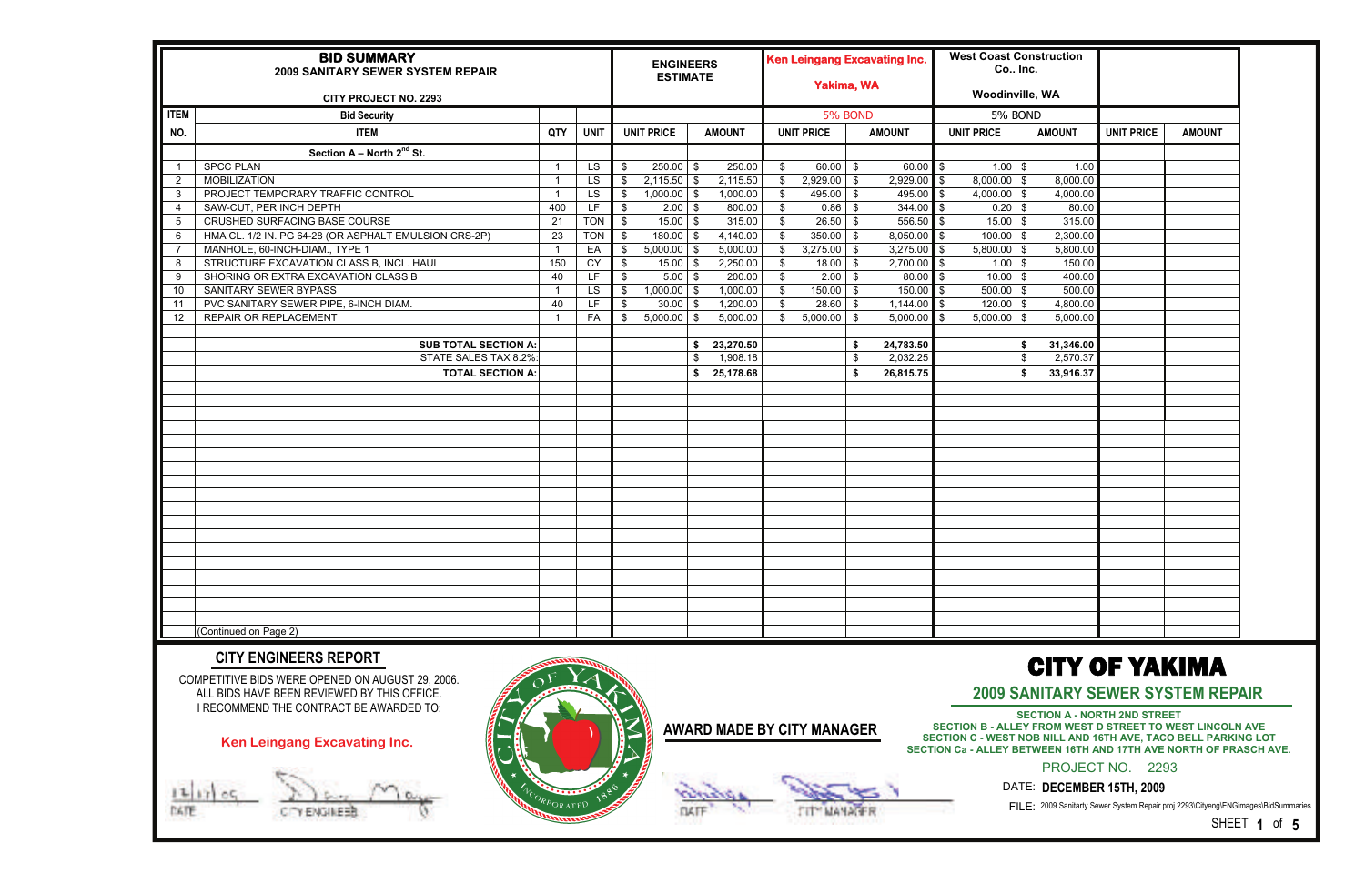|                | <b>BID SUMMARY</b><br>2009 SANITARY SEWER SYSTEM REPAIR<br><b>CITY PROJECT NO. 2293</b>                                                                                    |     |             |               | <b>ENGINEERS</b><br><b>ESTIMATE</b> |             |                                   |                | <b>Ken Leingang Excavating Inc.</b><br><b>Yakima, WA</b> |              |                           | <b>West Coast Construction</b><br>Co Inc.<br><b>Woodinville, WA</b>                                                                                                                                   |                                                              |                   |                                          |
|----------------|----------------------------------------------------------------------------------------------------------------------------------------------------------------------------|-----|-------------|---------------|-------------------------------------|-------------|-----------------------------------|----------------|----------------------------------------------------------|--------------|---------------------------|-------------------------------------------------------------------------------------------------------------------------------------------------------------------------------------------------------|--------------------------------------------------------------|-------------------|------------------------------------------|
| <b>ITEM</b>    | <b>Bid Security</b>                                                                                                                                                        |     |             |               |                                     |             |                                   |                | 5% BOND                                                  |              |                           | 5% BOND                                                                                                                                                                                               |                                                              |                   |                                          |
| NO.            | <b>ITEM</b>                                                                                                                                                                | QTY | <b>UNIT</b> |               | <b>UNIT PRICE</b>                   |             | <b>AMOUNT</b>                     |                | <b>UNIT PRICE</b>                                        |              | <b>AMOUNT</b>             | <b>UNIT PRICE</b>                                                                                                                                                                                     | <b>AMOUNT</b>                                                | <b>UNIT PRICE</b> | <b>AMOUNT</b>                            |
|                | Section A - North 2nd St.                                                                                                                                                  |     |             |               |                                     |             |                                   |                |                                                          |              |                           |                                                                                                                                                                                                       |                                                              |                   |                                          |
|                | <b>SPCC PLAN</b>                                                                                                                                                           | - 1 | LS          | -\$           | $250.00$ \$                         |             | 250.00                            | \$             | $60.00$ \$                                               |              | $60.00$ \$                | $1.00$ \$                                                                                                                                                                                             | 1.00                                                         |                   |                                          |
| $\overline{2}$ | <b>MOBILIZATION</b>                                                                                                                                                        |     | <b>LS</b>   | -\$           | $2,115.50$ \$                       |             | 2,115.50                          | $\mathfrak{S}$ | 2,929.00                                                 | - \$         | $2,929.00$ \$             | $8,000.00$ \$                                                                                                                                                                                         | 8,000.00                                                     |                   |                                          |
| -3             | PROJECT TEMPORARY TRAFFIC CONTROL                                                                                                                                          |     | <b>LS</b>   | -\$           | $1,000.00$ \$                       |             | 1,000.00                          | \$             | 495.00                                                   | - \$         | 495.00 $\frac{1}{3}$      | $4,000.00$ \$                                                                                                                                                                                         | 4,000.00                                                     |                   |                                          |
| 4              | SAW-CUT, PER INCH DEPTH                                                                                                                                                    | 400 | LF          | \$            | $2.00$ \$                           |             | 800.00                            | $\mathbb{S}$   | 0.86                                                     | - \$         | $344.00$ \$               | $0.20$ \$                                                                                                                                                                                             | 80.00                                                        |                   |                                          |
| 5              | CRUSHED SURFACING BASE COURSE                                                                                                                                              | 21  | <b>TON</b>  | $\sqrt[6]{3}$ | $15.00$ \$                          |             | 315.00                            | $\mathfrak{S}$ | 26.50                                                    | - \$         | $556.50$ \$               | 15.00                                                                                                                                                                                                 | 315.00<br>l \$                                               |                   |                                          |
| -6             | HMA CL. 1/2 IN. PG 64-28 (OR ASPHALT EMULSION CRS-2P)                                                                                                                      | 23  | <b>TON</b>  | \$            | $180.00$ \$                         |             | 4,140.00                          | $\mathbb{S}$   | 350.00                                                   | - \$         | $8,050.00$ \$             | $\overline{100.00}$ \$                                                                                                                                                                                | 2,300.00                                                     |                   |                                          |
| $\overline{7}$ | MANHOLE, 60-INCH-DIAM., TYPE 1                                                                                                                                             |     | EA          | -\$           | $5,000.00$ \$                       |             | 5,000.00                          | \$             | 3,275.00                                                 | - \$         | $3,275.00$ \$             | $5,800.00$ \$                                                                                                                                                                                         | 5,800.00                                                     |                   |                                          |
| 8              | STRUCTURE EXCAVATION CLASS B, INCL. HAUL                                                                                                                                   | 150 | CY          | -\$           | $15.00$ \ \$                        |             | 2,250.00                          | \$             | 18.00                                                    | - \$         | $2,700.00$ \$             | $1.00$ \$                                                                                                                                                                                             | 150.00                                                       |                   |                                          |
| 9              | SHORING OR EXTRA EXCAVATION CLASS B<br>SANITARY SEWER BYPASS                                                                                                               | 40  | LF.         | \$            | $5.00$ \$                           |             | 200.00                            | \$             | 2.00                                                     | - \$         | $80.00$ \$<br>$150.00$ \$ | $10.00$ \$                                                                                                                                                                                            | 400.00<br>500.00                                             |                   |                                          |
| -10<br>11      | PVC SANITARY SEWER PIPE, 6-INCH DIAM.                                                                                                                                      | 40  | LS<br>LF    | \$<br>\$      | $1,000.00$ \$<br>$30.00$ \ \$       |             | 1,000.00<br>1,200.00              | \$<br>\$       | 150.00<br>28.60                                          | - \$<br>- \$ | $1,144.00$ \$             | $500.00$ \$<br>$120.00$ \$                                                                                                                                                                            | 4,800.00                                                     |                   |                                          |
| 12             | <b>REPAIR OR REPLACEMENT</b>                                                                                                                                               |     | FA          | - \$          | $5,000.00$ \$                       |             | 5,000.00                          | $\mathbb{S}$   | 5,000.00                                                 | - \$         | $5,000.00$ \$             | 5,000.00                                                                                                                                                                                              | 5,000.00<br>l \$                                             |                   |                                          |
|                |                                                                                                                                                                            |     |             |               |                                     |             |                                   |                |                                                          |              |                           |                                                                                                                                                                                                       |                                                              |                   |                                          |
|                | <b>SUB TOTAL SECTION A:</b>                                                                                                                                                |     |             |               |                                     | s.          | 23,270.50                         |                |                                                          | - \$         | 24,783.50                 |                                                                                                                                                                                                       | 31,346.00                                                    |                   |                                          |
|                | STATE SALES TAX 8.2%:                                                                                                                                                      |     |             |               |                                     | \$          | 1,908.18                          |                |                                                          | -\$          | 2,032.25                  |                                                                                                                                                                                                       | 2,570.37                                                     |                   |                                          |
|                | <b>TOTAL SECTION A:</b>                                                                                                                                                    |     |             |               |                                     | $$^{\circ}$ | 25,178.68                         |                |                                                          | Ŝ.           | 26,815.75                 |                                                                                                                                                                                                       | 33,916.37                                                    |                   |                                          |
|                |                                                                                                                                                                            |     |             |               |                                     |             |                                   |                |                                                          |              |                           |                                                                                                                                                                                                       |                                                              |                   |                                          |
|                |                                                                                                                                                                            |     |             |               |                                     |             |                                   |                |                                                          |              |                           |                                                                                                                                                                                                       |                                                              |                   |                                          |
|                |                                                                                                                                                                            |     |             |               |                                     |             |                                   |                |                                                          |              |                           |                                                                                                                                                                                                       |                                                              |                   |                                          |
|                |                                                                                                                                                                            |     |             |               |                                     |             |                                   |                |                                                          |              |                           |                                                                                                                                                                                                       |                                                              |                   |                                          |
|                |                                                                                                                                                                            |     |             |               |                                     |             |                                   |                |                                                          |              |                           |                                                                                                                                                                                                       |                                                              |                   |                                          |
|                |                                                                                                                                                                            |     |             |               |                                     |             |                                   |                |                                                          |              |                           |                                                                                                                                                                                                       |                                                              |                   |                                          |
|                |                                                                                                                                                                            |     |             |               |                                     |             |                                   |                |                                                          |              |                           |                                                                                                                                                                                                       |                                                              |                   |                                          |
|                |                                                                                                                                                                            |     |             |               |                                     |             |                                   |                |                                                          |              |                           |                                                                                                                                                                                                       |                                                              |                   |                                          |
|                |                                                                                                                                                                            |     |             |               |                                     |             |                                   |                |                                                          |              |                           |                                                                                                                                                                                                       |                                                              |                   |                                          |
|                |                                                                                                                                                                            |     |             |               |                                     |             |                                   |                |                                                          |              |                           |                                                                                                                                                                                                       |                                                              |                   |                                          |
|                |                                                                                                                                                                            |     |             |               |                                     |             |                                   |                |                                                          |              |                           |                                                                                                                                                                                                       |                                                              |                   |                                          |
|                |                                                                                                                                                                            |     |             |               |                                     |             |                                   |                |                                                          |              |                           |                                                                                                                                                                                                       |                                                              |                   |                                          |
|                |                                                                                                                                                                            |     |             |               |                                     |             |                                   |                |                                                          |              |                           |                                                                                                                                                                                                       |                                                              |                   |                                          |
|                |                                                                                                                                                                            |     |             |               |                                     |             |                                   |                |                                                          |              |                           |                                                                                                                                                                                                       |                                                              |                   |                                          |
|                |                                                                                                                                                                            |     |             |               |                                     |             |                                   |                |                                                          |              |                           |                                                                                                                                                                                                       |                                                              |                   |                                          |
|                |                                                                                                                                                                            |     |             |               |                                     |             |                                   |                |                                                          |              |                           |                                                                                                                                                                                                       |                                                              |                   |                                          |
|                |                                                                                                                                                                            |     |             |               |                                     |             |                                   |                |                                                          |              |                           |                                                                                                                                                                                                       |                                                              |                   |                                          |
|                | (Continued on Page 2)                                                                                                                                                      |     |             |               |                                     |             |                                   |                |                                                          |              |                           |                                                                                                                                                                                                       |                                                              |                   |                                          |
|                |                                                                                                                                                                            |     |             |               |                                     |             |                                   |                |                                                          |              |                           |                                                                                                                                                                                                       |                                                              |                   |                                          |
|                | <b>CITY ENGINEERS REPORT</b><br>COMPETITIVE BIDS WERE OPENED ON AUGUST 29, 2006.<br>ALL BIDS HAVE BEEN REVIEWED BY THIS OFFICE.<br>I RECOMMEND THE CONTRACT BE AWARDED TO: |     |             |               |                                     |             |                                   |                |                                                          |              |                           |                                                                                                                                                                                                       | <b>CITY OF YAKIMA</b><br><b>SECTION A - NORTH 2ND STREET</b> |                   | <b>2009 SANITARY SEWER SYSTEM REPAIR</b> |
|                | <b>Ken Leingang Excavating Inc.</b>                                                                                                                                        |     |             |               |                                     |             | <b>AWARD MADE BY CITY MANAGER</b> |                |                                                          |              |                           | <b>SECTION B - ALLEY FROM WEST D STREET TO WEST LINCOLN AVE</b><br>SECTION C - WEST NOB NILL AND 16TH AVE, TACO BELL PARKING LOT<br>SECTION Ca - ALLEY BETWEEN 16TH AND 17TH AVE NORTH OF PRASCH AVE. |                                                              |                   |                                          |

 $\frac{11}{100}$  or  $\frac{11}{100}$  crevates) V May

159599 DATE CITY MANAGER

<sup>Rp</sup>orated

PROJECT NO. 2293

DATE: **DECEMBER 15TH, 2009** 

FILE: 2009 Sanitarty Sewer System Repair proj 2293\Cityeng\ENGimages\BidSummaries

SHEET **1** of **5**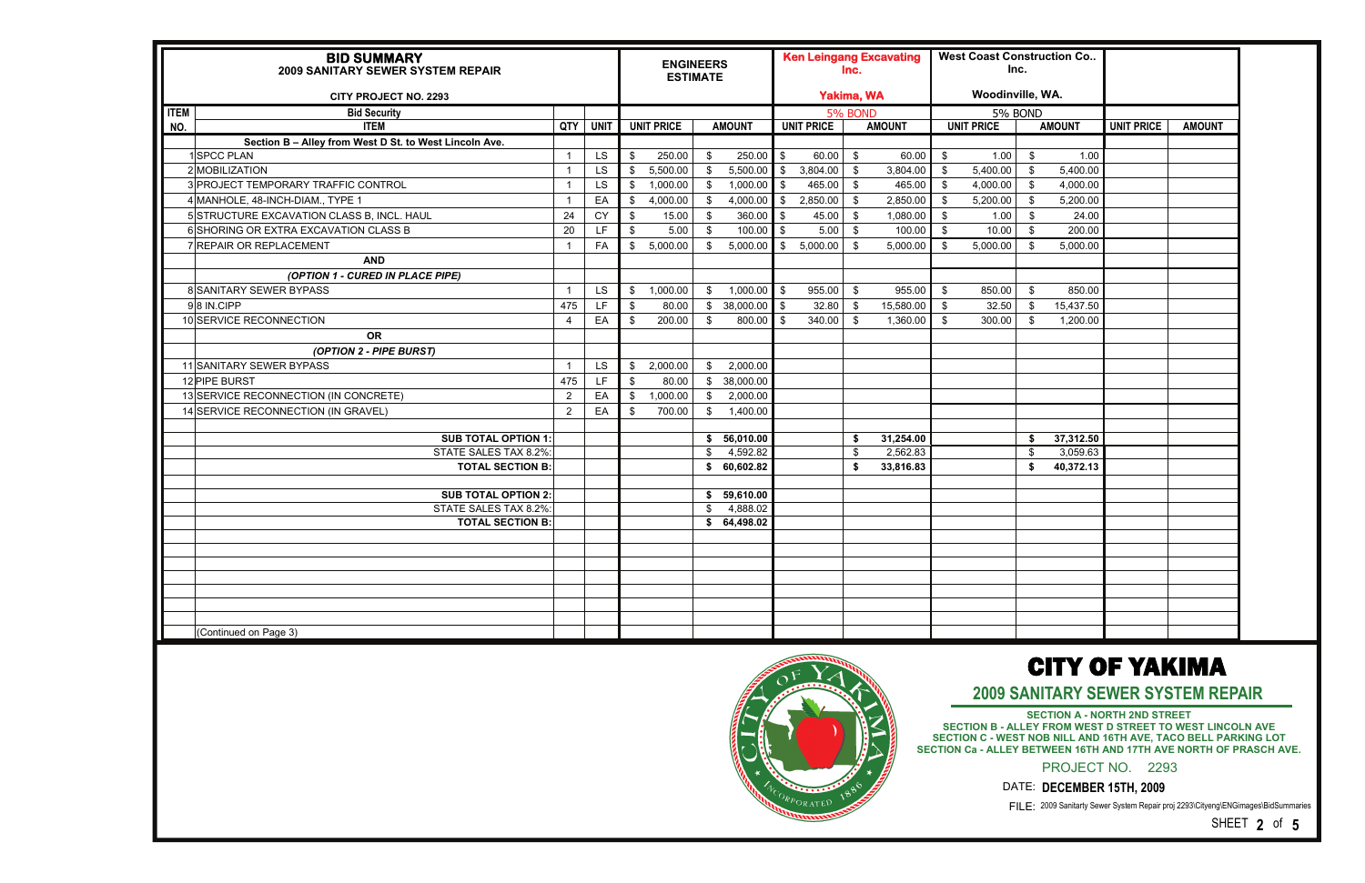SECTION A - NORTH 2ND STREET<br>SECTION B - ALLEY FROM WEST D STREET TO WEST LINCOLN AVE<br>SECTION C - WEST NOB NILL AND 16TH AVE, TACO BELL PARKING LOT **SECTION Ca - ALLEY BETWEEN 16TH AND 17TH AVE NORTH OF PRASCH AVE.**

2009 Sanitarty Sewer System Repair proj 2293\Cityeng\ENGimages\BidSummaries FILE:

|                    | <b>BID SUMMARY</b><br>2009 SANITARY SEWER SYSTEM REPAIR<br><b>CITY PROJECT NO. 2293</b> |                |             |               | <b>ENGINEERS</b><br><b>ESTIMATE</b> |                         |               |            | <b>Ken Leingang Excavating</b><br><b>Yakima, WA</b> | lnc.           |               |      | <b>West Coast Construction Co</b><br>Inc.<br>Woodinville, WA. |               |               |                   |               |
|--------------------|-----------------------------------------------------------------------------------------|----------------|-------------|---------------|-------------------------------------|-------------------------|---------------|------------|-----------------------------------------------------|----------------|---------------|------|---------------------------------------------------------------|---------------|---------------|-------------------|---------------|
|                    |                                                                                         |                |             |               |                                     |                         |               |            |                                                     |                |               |      |                                                               |               |               |                   |               |
| <b>ITEM</b><br>NO. | <b>Bid Security</b><br><b>ITEM</b>                                                      | QTY            | <b>UNIT</b> |               | <b>UNIT PRICE</b>                   |                         | <b>AMOUNT</b> |            | <b>UNIT PRICE</b>                                   | <b>5% BOND</b> | <b>AMOUNT</b> |      | 5% BOND<br><b>UNIT PRICE</b>                                  |               | <b>AMOUNT</b> | <b>UNIT PRICE</b> | <b>AMOUNT</b> |
|                    |                                                                                         |                |             |               |                                     |                         |               |            |                                                     |                |               |      |                                                               |               |               |                   |               |
|                    | Section B - Alley from West D St. to West Lincoln Ave.<br>1SPCC PLAN                    |                | LS          | \$            | 250.00                              | - \$                    | $250.00$ \$   |            | 60.00                                               | \$             | 60.00         | - \$ | 1.00                                                          | \$            | 1.00          |                   |               |
|                    | 2 MOBILIZATION                                                                          |                | <b>LS</b>   | \$            | 5,500.00                            | \$                      | 5,500.00      | l \$       | 3,804.00                                            | \$             | 3,804.00      | \$   | 5,400.00                                                      | \$            | 5,400.00      |                   |               |
|                    | 3 PROJECT TEMPORARY TRAFFIC CONTROL                                                     |                | LS          | \$            | 1,000.00                            | \$                      | 1,000.00      | - \$       | 465.00                                              | $\mathfrak{F}$ | 465.00        | -\$  | 4,000.00                                                      | $\sqrt[6]{3}$ | 4,000.00      |                   |               |
|                    | 4 MANHOLE, 48-INCH-DIAM., TYPE 1                                                        |                | EA          | $\sqrt{2}$    | 4,000.00                            | \$                      | $4,000.00$ \$ |            | 2,850.00                                            | \$             | 2,850.00      | \$   | 5,200.00                                                      | $\sqrt[6]{3}$ | 5,200.00      |                   |               |
|                    | 5 STRUCTURE EXCAVATION CLASS B, INCL. HAUL                                              | 24             | CY          | \$            | 15.00                               | - \$                    | 360.00        | $\sqrt{3}$ | 45.00                                               | \$             | 1,080.00      | \$   | 1.00                                                          | \$            | 24.00         |                   |               |
|                    | 6 SHORING OR EXTRA EXCAVATION CLASS B                                                   | 20             | LF.         | \$            | 5.00                                | -\$                     | 100.00        | l\$        | 5.00                                                | - \$           | 100.00        | \$   | 10.00                                                         | \$            | 200.00        |                   |               |
|                    | 7 REPAIR OR REPLACEMENT                                                                 | -1             | FA          | \$            | 5,000.00                            | \$                      | 5,000.00      | \$         | 5,000.00                                            | \$             | 5,000.00      | -S   | 5,000.00                                                      | - \$          | 5,000.00      |                   |               |
|                    | <b>AND</b>                                                                              |                |             |               |                                     |                         |               |            |                                                     |                |               |      |                                                               |               |               |                   |               |
|                    | (OPTION 1 - CURED IN PLACE PIPE)                                                        |                |             |               |                                     |                         |               |            |                                                     |                |               |      |                                                               |               |               |                   |               |
|                    | 8 SANITARY SEWER BYPASS                                                                 | $\overline{1}$ | <b>LS</b>   | \$            | 1,000.00                            | \$                      | $1,000.00$ \$ |            | 955.00                                              | - \$           | 955.00        | \$   | 850.00                                                        | \$            | 850.00        |                   |               |
|                    | 98 IN.CIPP                                                                              | 475            | LF          | \$            | 80.00                               | $\sqrt[6]{\frac{1}{2}}$ | 38,000.00     | IS.        | 32.80                                               | \$             | 15,580.00     | \$   | 32.50                                                         | - \$          | 15,437.50     |                   |               |
|                    | 10 SERVICE RECONNECTION                                                                 | 4              | EA          | \$            | 200.00                              | \$                      | $800.00$ \$   |            | 340.00                                              | \$             | 1,360.00      | \$   | 300.00                                                        | - \$          | 1,200.00      |                   |               |
|                    | <b>OR</b>                                                                               |                |             |               |                                     |                         |               |            |                                                     |                |               |      |                                                               |               |               |                   |               |
|                    | (OPTION 2 - PIPE BURST)                                                                 |                |             |               |                                     |                         |               |            |                                                     |                |               |      |                                                               |               |               |                   |               |
|                    | 11 SANITARY SEWER BYPASS                                                                |                | LS          | $\sqrt{2}$    | 2,000.00                            | \$                      | 2,000.00      |            |                                                     |                |               |      |                                                               |               |               |                   |               |
|                    | 12 PIPE BURST                                                                           | 475            | <b>LF</b>   | $\sqrt[6]{3}$ | 80.00                               | \$                      | 38,000.00     |            |                                                     |                |               |      |                                                               |               |               |                   |               |
|                    | 13 SERVICE RECONNECTION (IN CONCRETE)                                                   | $\overline{2}$ | EA          | \$            | 1,000.00                            | \$                      | 2,000.00      |            |                                                     |                |               |      |                                                               |               |               |                   |               |
|                    | 14 SERVICE RECONNECTION (IN GRAVEL)                                                     | $\overline{2}$ | EA          | - \$          | 700.00                              | \$                      | 1,400.00      |            |                                                     |                |               |      |                                                               |               |               |                   |               |
|                    |                                                                                         |                |             |               |                                     |                         |               |            |                                                     |                |               |      |                                                               |               |               |                   |               |
|                    | <b>SUB TOTAL OPTION 1:</b>                                                              |                |             |               |                                     | S.                      | 56,010.00     |            |                                                     | S.             | 31,254.00     |      |                                                               | - \$          | 37,312.50     |                   |               |
|                    | STATE SALES TAX 8.2%                                                                    |                |             |               |                                     | \$                      | 4,592.82      |            |                                                     | \$             | 2,562.83      |      |                                                               | \$            | 3,059.63      |                   |               |
|                    | <b>TOTAL SECTION B:</b>                                                                 |                |             |               |                                     | S.                      | 60,602.82     |            |                                                     | \$.            | 33,816.83     |      |                                                               | \$            | 40,372.13     |                   |               |
|                    | <b>SUB TOTAL OPTION 2:</b>                                                              |                |             |               |                                     | \$                      | 59,610.00     |            |                                                     |                |               |      |                                                               |               |               |                   |               |
|                    | STATE SALES TAX 8.2%:                                                                   |                |             |               |                                     | - \$                    | 4,888.02      |            |                                                     |                |               |      |                                                               |               |               |                   |               |
|                    | <b>TOTAL SECTION B:</b>                                                                 |                |             |               |                                     |                         | \$64,498.02   |            |                                                     |                |               |      |                                                               |               |               |                   |               |
|                    |                                                                                         |                |             |               |                                     |                         |               |            |                                                     |                |               |      |                                                               |               |               |                   |               |
|                    |                                                                                         |                |             |               |                                     |                         |               |            |                                                     |                |               |      |                                                               |               |               |                   |               |
|                    |                                                                                         |                |             |               |                                     |                         |               |            |                                                     |                |               |      |                                                               |               |               |                   |               |
|                    |                                                                                         |                |             |               |                                     |                         |               |            |                                                     |                |               |      |                                                               |               |               |                   |               |
|                    |                                                                                         |                |             |               |                                     |                         |               |            |                                                     |                |               |      |                                                               |               |               |                   |               |
|                    |                                                                                         |                |             |               |                                     |                         |               |            |                                                     |                |               |      |                                                               |               |               |                   |               |
|                    |                                                                                         |                |             |               |                                     |                         |               |            |                                                     |                |               |      |                                                               |               |               |                   |               |
|                    | (Continued on Page 3)                                                                   |                |             |               |                                     |                         |               |            |                                                     |                |               |      |                                                               |               |               |                   |               |



## CITY OF YAKIMA

SHEET **2** of **5** 

**2009 SANITARY SEWER SYSTEM REPAIR** 

PROJECT NO. 2293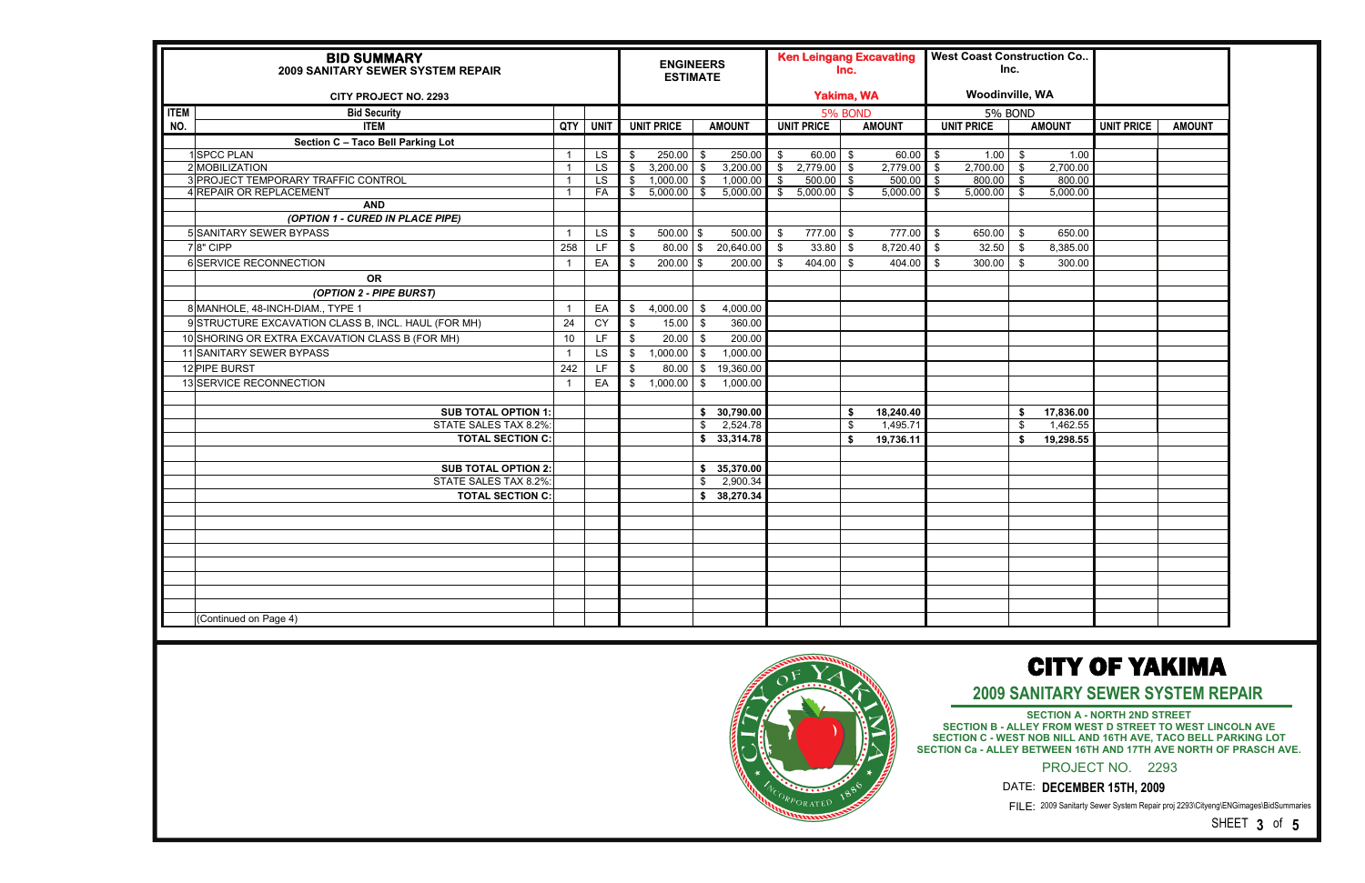**SECTION A - NORTH 2ND STREET SECTION B - ALLEY FROM WEST D STREET TO WEST LINCOLN AVE SECTION C - WEST NOB NILL AND 16TH AVE, TACO BELL PARKING LOT SECTION Ca - ALLEY BETWEEN 16TH AND 17TH AVE NORTH OF PRASCH AVE.**

2009 Sanitarty Sewer System Repair proj 2293\Cityeng\ENGimages\BidSummaries FILE:

| <b>BID SUMMARY</b><br>2009 SANITARY SEWER SYSTEM REPAIR<br><b>CITY PROJECT NO. 2293</b> |     |                 |                | <b>ENGINEERS</b><br><b>ESTIMATE</b> |               |               |                   | <b>Ken Leingang Excavating</b><br><b>Yakima, WA</b> | Inc. |               |                | <b>West Coast Construction Co</b><br>Inc.<br><b>Woodinville, WA</b> |                |               |                   |               |
|-----------------------------------------------------------------------------------------|-----|-----------------|----------------|-------------------------------------|---------------|---------------|-------------------|-----------------------------------------------------|------|---------------|----------------|---------------------------------------------------------------------|----------------|---------------|-------------------|---------------|
|                                                                                         |     |                 |                |                                     |               |               |                   |                                                     |      |               |                |                                                                     |                |               |                   |               |
| <b>ITEM</b><br><b>Bid Security</b><br>NO.<br><b>ITEM</b>                                | QTY | <b>UNIT</b>     |                | <b>UNIT PRICE</b>                   |               | <b>AMOUNT</b> |                   | 5% BOND<br><b>UNIT PRICE</b>                        |      | <b>AMOUNT</b> |                | 5% BOND<br><b>UNIT PRICE</b>                                        |                | <b>AMOUNT</b> | <b>UNIT PRICE</b> | <b>AMOUNT</b> |
|                                                                                         |     |                 |                |                                     |               |               |                   |                                                     |      |               |                |                                                                     |                |               |                   |               |
| Section C - Taco Bell Parking Lot<br>1SPCC PLAN                                         |     | <b>LS</b>       | \$             | 250.00                              | \$            | 250.00        | $\mathfrak{F}$    | 60.00                                               | - \$ | 60.00         | $\mathfrak{s}$ | 1.00                                                                | $\mathfrak{s}$ | 1.00          |                   |               |
| 2 MOBILIZATION                                                                          | -1  | $\overline{LS}$ | \$             | 3,200.00                            | \$            | 3,200.00      | $\overline{\ast}$ | 2,779.00                                            | \$   | 2,779.00      | l \$           | 2,700.00                                                            | - \$           | 2,700.00      |                   |               |
| 3 PROJECT TEMPORARY TRAFFIC CONTROL                                                     | -1  | <b>LS</b>       |                | \$ 1,000.00                         | $\bullet$     | 1,000.00      | $\sqrt{3}$        | $500.00$ \$                                         |      | 500.00        | $\sqrt{3}$     | 800.00                                                              | - \$           | 800.00        |                   |               |
| 4 REPAIR OR REPLACEMENT                                                                 |     | FA              |                | \$5,000.00                          | $\sqrt{3}$    | $5,000.00$ \$ |                   | 5,000.00                                            | - \$ | 5,000.00      | ∣ \$           | 5,000.00                                                            | - \$           | 5,000.00      |                   |               |
| <b>AND</b>                                                                              |     |                 |                |                                     |               |               |                   |                                                     |      |               |                |                                                                     |                |               |                   |               |
| (OPTION 1 - CURED IN PLACE PIPE)                                                        |     |                 |                |                                     |               |               |                   |                                                     |      |               |                |                                                                     |                |               |                   |               |
| 5 SANITARY SEWER BYPASS                                                                 |     | LS              | \$             | $500.00$ \$                         |               | 500.00        | \$                | 777.00                                              | - \$ | 777.00        | $\sqrt{3}$     | 650.00                                                              | \$             | 650.00        |                   |               |
| $78"$ CIPP                                                                              | 258 | LF              | $\sqrt[6]{3}$  | $80.00$ \$                          |               | 20,640.00     | \$                | 33.80                                               | - \$ | 8,720.40 \$   |                | 32.50                                                               | - \$           | 8,385.00      |                   |               |
| 6 SERVICE RECONNECTION                                                                  |     | EA              | \$             | $200.00$ \$                         |               | 200.00        | \$                | 404.00                                              | - \$ | 404.00        | l \$           | 300.00                                                              |                | 300.00        |                   |               |
| <b>OR</b>                                                                               |     |                 |                |                                     |               |               |                   |                                                     |      |               |                |                                                                     |                |               |                   |               |
| (OPTION 2 - PIPE BURST)                                                                 |     |                 |                |                                     |               |               |                   |                                                     |      |               |                |                                                                     |                |               |                   |               |
| 8 MANHOLE, 48-INCH-DIAM., TYPE 1                                                        |     | EA              | \$             | 4,000.00                            | $\mathfrak s$ | 4,000.00      |                   |                                                     |      |               |                |                                                                     |                |               |                   |               |
| 9 STRUCTURE EXCAVATION CLASS B, INCL. HAUL (FOR MH)                                     | 24  | CY              | \$             | 15.00                               | - \$          | 360.00        |                   |                                                     |      |               |                |                                                                     |                |               |                   |               |
| 10 SHORING OR EXTRA EXCAVATION CLASS B (FOR MH)                                         | 10  | LF.             | \$             | 20.00                               | - \$          | 200.00        |                   |                                                     |      |               |                |                                                                     |                |               |                   |               |
| 11 SANITARY SEWER BYPASS                                                                |     | LS              | $\frac{1}{2}$  | 1,000.00                            | $\mathfrak s$ | 1,000.00      |                   |                                                     |      |               |                |                                                                     |                |               |                   |               |
| 12 PIPE BURST                                                                           | 242 | <b>LF</b>       | - \$           | 80.00                               | $\sqrt{3}$    | 19,360.00     |                   |                                                     |      |               |                |                                                                     |                |               |                   |               |
| 13 SERVICE RECONNECTION                                                                 |     | EA              | $\mathfrak{S}$ | 1,000.00                            | \$            | 1,000.00      |                   |                                                     |      |               |                |                                                                     |                |               |                   |               |
|                                                                                         |     |                 |                |                                     |               |               |                   |                                                     |      |               |                |                                                                     |                |               |                   |               |
| <b>SUB TOTAL OPTION 1:</b>                                                              |     |                 |                |                                     |               | \$30,790.00   |                   |                                                     | - \$ | 18,240.40     |                |                                                                     | - 5            | 17,836.00     |                   |               |
| STATE SALES TAX 8.2%:                                                                   |     |                 |                |                                     | \$            | 2,524.78      |                   |                                                     | \$   | 1,495.71      |                |                                                                     | - \$           | 1,462.55      |                   |               |
| <b>TOTAL SECTION C:</b>                                                                 |     |                 |                |                                     |               | \$33,314.78   |                   |                                                     | \$   | 19,736.11     |                |                                                                     | - \$           | 19,298.55     |                   |               |
|                                                                                         |     |                 |                |                                     |               |               |                   |                                                     |      |               |                |                                                                     |                |               |                   |               |
| <b>SUB TOTAL OPTION 2:</b>                                                              |     |                 |                |                                     |               | \$35,370.00   |                   |                                                     |      |               |                |                                                                     |                |               |                   |               |
| STATE SALES TAX 8.2%:                                                                   |     |                 |                |                                     | \$            | 2,900.34      |                   |                                                     |      |               |                |                                                                     |                |               |                   |               |
| <b>TOTAL SECTION C:</b>                                                                 |     |                 |                |                                     |               | \$38,270.34   |                   |                                                     |      |               |                |                                                                     |                |               |                   |               |
|                                                                                         |     |                 |                |                                     |               |               |                   |                                                     |      |               |                |                                                                     |                |               |                   |               |
|                                                                                         |     |                 |                |                                     |               |               |                   |                                                     |      |               |                |                                                                     |                |               |                   |               |
|                                                                                         |     |                 |                |                                     |               |               |                   |                                                     |      |               |                |                                                                     |                |               |                   |               |
|                                                                                         |     |                 |                |                                     |               |               |                   |                                                     |      |               |                |                                                                     |                |               |                   |               |
|                                                                                         |     |                 |                |                                     |               |               |                   |                                                     |      |               |                |                                                                     |                |               |                   |               |
|                                                                                         |     |                 |                |                                     |               |               |                   |                                                     |      |               |                |                                                                     |                |               |                   |               |
|                                                                                         |     |                 |                |                                     |               |               |                   |                                                     |      |               |                |                                                                     |                |               |                   |               |
|                                                                                         |     |                 |                |                                     |               |               |                   |                                                     |      |               |                |                                                                     |                |               |                   |               |
| (Continued on Page 4)                                                                   |     |                 |                |                                     |               |               |                   |                                                     |      |               |                |                                                                     |                |               |                   |               |



## CITY OF YAKIMA

SHEET **3** of **5**

**2009 SANITARY SEWER SYSTEM REPAIR** 

PROJECT NO. 2293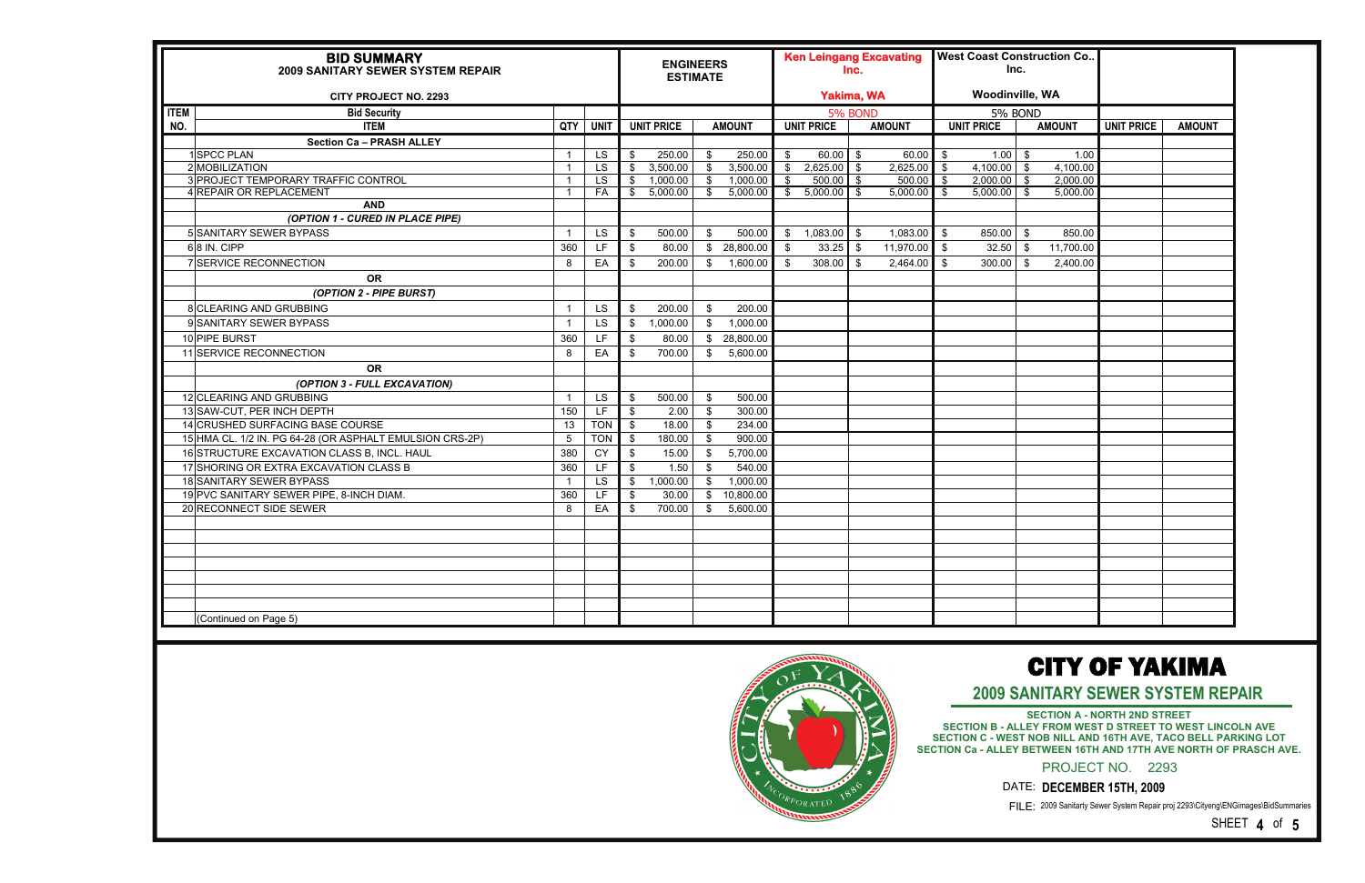**2009 SANITARY SEWER SYSTEM REPAIR** 

|             | <b>BID SUMMARY</b><br><b>2009 SANITARY SEWER SYSTEM REPAIR</b> |     |             |               | <b>ENGINEERS</b><br><b>ESTIMATE</b> |                         |               |               |                   | Inc.    | <b>Ken Leingang Excavating</b> |                          |                   | Inc.           | <b>West Coast Construction Co</b>                            |                   |               |
|-------------|----------------------------------------------------------------|-----|-------------|---------------|-------------------------------------|-------------------------|---------------|---------------|-------------------|---------|--------------------------------|--------------------------|-------------------|----------------|--------------------------------------------------------------|-------------------|---------------|
|             | <b>CITY PROJECT NO. 2293</b>                                   |     |             |               |                                     |                         |               |               | <b>Yakima, WA</b> |         |                                |                          | Woodinville, WA   |                |                                                              |                   |               |
| <b>ITEM</b> | <b>Bid Security</b>                                            |     |             |               |                                     |                         |               |               |                   | 5% BOND |                                |                          | 5% BOND           |                |                                                              |                   |               |
| NO.         | <b>ITEM</b>                                                    | QTY | <b>UNIT</b> |               | <b>UNIT PRICE</b>                   |                         | <b>AMOUNT</b> |               | <b>UNIT PRICE</b> |         | <b>AMOUNT</b>                  |                          | <b>UNIT PRICE</b> |                | <b>AMOUNT</b>                                                | <b>UNIT PRICE</b> | <b>AMOUNT</b> |
|             | <b>Section Ca - PRASH ALLEY</b>                                |     |             |               |                                     |                         |               |               |                   |         |                                |                          |                   |                |                                                              |                   |               |
|             | <b>SPCC PLAN</b>                                               |     | LS          | - \$          | 250.00                              | $\sqrt[6]{\frac{1}{2}}$ | 250.00        | $\sqrt{3}$    | $60.00$ \$        |         | $60.00$ \$                     |                          | 1.00              | $\mathfrak{g}$ | 1.00                                                         |                   |               |
|             | 2 MOBILIZATION                                                 |     | <b>LS</b>   | - \$          | 3,500.00                            | $\overline{\mathbf{3}}$ | 3,500.00      | $\sqrt{5}$    | $2,625.00$ \$     |         | $2,625.00$ \$                  |                          | $4,100.00$ \$     |                | 4,100.00                                                     |                   |               |
|             | 3 PROJECT TEMPORARY TRAFFIC CONTROL                            |     | <b>LS</b>   | \$            | 1,000.00                            | $\sqrt[6]{3}$           | 1,000.00      | $\sqrt{3}$    | $500.00$ \$       |         | $500.00$ \$                    |                          | $2,000.00$ \$     |                | 2,000.00                                                     |                   |               |
|             | 4 REPAIR OR REPLACEMENT<br><b>AND</b>                          |     | FA          | - \$          | 5,000.00                            | - S                     | 5,000.00      | $\mathcal{S}$ | $5,000.00$ \$     |         | $5,000.00$ \$                  |                          | 5,000.00          | - \$           | 5,000.00                                                     |                   |               |
|             | (OPTION 1 - CURED IN PLACE PIPE)                               |     |             |               |                                     |                         |               |               |                   |         |                                |                          |                   |                |                                                              |                   |               |
|             | 5 SANITARY SEWER BYPASS                                        |     | <b>LS</b>   | \$            | 500.00                              | \$                      | 500.00        |               | $$1,083.00$ \ \$  |         | 1,083.00                       | l \$                     | $850.00$ \$       |                | 850.00                                                       |                   |               |
|             |                                                                |     | LF.         |               |                                     |                         |               |               |                   |         |                                |                          |                   |                |                                                              |                   |               |
|             | $6 8$ IN. CIPP                                                 | 360 |             | \$            | 80.00                               |                         | \$28,800.00   | $^{\circ}$    | $33.25$ \$        |         | 11,970.00                      | $\overline{\phantom{a}}$ | 32.50             | - \$           | 11,700.00                                                    |                   |               |
|             | 7 SERVICE RECONNECTION                                         | 8   | EA          | \$            | 200.00                              |                         | \$ 1,600.00   | $\mathbf{s}$  | 308.00            | l s     | 2,464.00                       | $\blacksquare$           | 300.00            | - \$           | 2,400.00                                                     |                   |               |
|             | <b>OR</b>                                                      |     |             |               |                                     |                         |               |               |                   |         |                                |                          |                   |                |                                                              |                   |               |
|             | (OPTION 2 - PIPE BURST)                                        |     |             |               |                                     |                         |               |               |                   |         |                                |                          |                   |                |                                                              |                   |               |
|             | 8 CLEARING AND GRUBBING                                        |     | <b>LS</b>   | \$            | 200.00                              | \$                      | 200.00        |               |                   |         |                                |                          |                   |                |                                                              |                   |               |
|             | 9 SANITARY SEWER BYPASS                                        |     | <b>LS</b>   | $\sqrt[6]{3}$ | 1,000.00                            | \$                      | 1,000.00      |               |                   |         |                                |                          |                   |                |                                                              |                   |               |
|             | 10 PIPE BURST                                                  | 360 | LF.         | \$            | 80.00                               |                         | \$28,800.00   |               |                   |         |                                |                          |                   |                |                                                              |                   |               |
|             | 11 SERVICE RECONNECTION                                        | 8   | EA          | - \$          | 700.00                              | \$                      | 5,600.00      |               |                   |         |                                |                          |                   |                |                                                              |                   |               |
|             | <b>OR</b>                                                      |     |             |               |                                     |                         |               |               |                   |         |                                |                          |                   |                |                                                              |                   |               |
|             | (OPTION 3 - FULL EXCAVATION)                                   |     |             |               |                                     |                         |               |               |                   |         |                                |                          |                   |                |                                                              |                   |               |
|             | 12 CLEARING AND GRUBBING                                       |     | <b>LS</b>   | \$            | 500.00                              | \$                      | 500.00        |               |                   |         |                                |                          |                   |                |                                                              |                   |               |
|             | 13 SAW-CUT, PER INCH DEPTH                                     | 150 | LF          | - \$          | 2.00                                | \$                      | 300.00        |               |                   |         |                                |                          |                   |                |                                                              |                   |               |
|             | 14 CRUSHED SURFACING BASE COURSE                               | 13  | <b>TON</b>  | \$            | 18.00                               | $\sqrt[6]{\frac{1}{2}}$ | 234.00        |               |                   |         |                                |                          |                   |                |                                                              |                   |               |
|             | 15 HMA CL. 1/2 IN. PG 64-28 (OR ASPHALT EMULSION CRS-2P)       | 5   | <b>TON</b>  | \$            | 180.00                              | $\mathfrak{S}$          | 900.00        |               |                   |         |                                |                          |                   |                |                                                              |                   |               |
|             | 16 STRUCTURE EXCAVATION CLASS B, INCL. HAUL                    | 380 | <b>CY</b>   | \$            | 15.00                               | \$                      | 5,700.00      |               |                   |         |                                |                          |                   |                |                                                              |                   |               |
|             | 17 SHORING OR EXTRA EXCAVATION CLASS B                         | 360 | LF          | \$            | 1.50                                | \$                      | 540.00        |               |                   |         |                                |                          |                   |                |                                                              |                   |               |
|             | 18 SANITARY SEWER BYPASS                                       |     | <b>LS</b>   | \$            | 1,000.00                            | \$                      | 1,000.00      |               |                   |         |                                |                          |                   |                |                                                              |                   |               |
|             | 19 PVC SANITARY SEWER PIPE, 8-INCH DIAM.                       | 360 | LF          | \$            | 30.00                               | $\mathfrak{S}$          | 10,800.00     |               |                   |         |                                |                          |                   |                |                                                              |                   |               |
|             | 20 RECONNECT SIDE SEWER                                        | 8   | EA          | \$            | 700.00                              | \$                      | 5,600.00      |               |                   |         |                                |                          |                   |                |                                                              |                   |               |
|             |                                                                |     |             |               |                                     |                         |               |               |                   |         |                                |                          |                   |                |                                                              |                   |               |
|             |                                                                |     |             |               |                                     |                         |               |               |                   |         |                                |                          |                   |                |                                                              |                   |               |
|             |                                                                |     |             |               |                                     |                         |               |               |                   |         |                                |                          |                   |                |                                                              |                   |               |
|             |                                                                |     |             |               |                                     |                         |               |               |                   |         |                                |                          |                   |                |                                                              |                   |               |
|             |                                                                |     |             |               |                                     |                         |               |               |                   |         |                                |                          |                   |                |                                                              |                   |               |
|             |                                                                |     |             |               |                                     |                         |               |               |                   |         |                                |                          |                   |                |                                                              |                   |               |
|             |                                                                |     |             |               |                                     |                         |               |               |                   |         |                                |                          |                   |                |                                                              |                   |               |
|             | (Continued on Page 5)                                          |     |             |               |                                     |                         |               |               |                   |         |                                |                          |                   |                |                                                              |                   |               |
|             |                                                                |     |             |               |                                     |                         |               |               |                   |         |                                |                          |                   |                | <b>CITY OF YAKIMA</b><br><b>2009 SANITARY SEWER SYSTEM R</b> |                   |               |



SECTION A - NORTH 2ND STREET<br>SECTION B - ALLEY FROM WEST D STREET TO WEST LINCOLN AVE<br>SECTION C - WEST NOB NILL AND 16TH AVE, TACO BELL PARKING LOT **SECTION Ca - ALLEY BETWEEN 16TH AND 17TH AVE NORTH OF PRASCH AVE.**

2009 Sanitarty Sewer System Repair proj 2293\Cityeng\ENGimages\BidSummaries FILE:

## CITY OF YAKIMA

SHEET **4** of **5**

|                                    | Inc.                 |                                           | <b>West Coast Construction Co</b> |                   |               |
|------------------------------------|----------------------|-------------------------------------------|-----------------------------------|-------------------|---------------|
|                                    | Woodinville, WA      |                                           |                                   |                   |               |
|                                    | 5% BOND              |                                           |                                   |                   |               |
|                                    | <b>UNIT PRICE</b>    |                                           | <b>AMOUNT</b>                     | <b>UNIT PRICE</b> | <b>AMOUNT</b> |
|                                    |                      |                                           |                                   |                   |               |
| $\frac{1}{2}$                      | 1.00                 | $\, \, \raisebox{12pt}{$\scriptstyle \$}$ | 1.00                              |                   |               |
| \$                                 | 4,100.00             | $\overline{\$}$                           | 4,100.00                          |                   |               |
| $\overline{\$}$<br>$\overline{\$}$ | 2,000.00<br>5,000.00 | $\overline{\$}$<br>$\overline{\$}$        | 2,000.00<br>5,000.00              |                   |               |
|                                    |                      |                                           |                                   |                   |               |
|                                    |                      |                                           |                                   |                   |               |
| \$                                 | 850.00               | \$                                        | 850.00                            |                   |               |
| \$                                 | 32.50                | \$                                        | 11,700.00                         |                   |               |
| \$                                 | 300.00               | \$                                        | 2,400.00                          |                   |               |
|                                    |                      |                                           |                                   |                   |               |
|                                    |                      |                                           |                                   |                   |               |
|                                    |                      |                                           |                                   |                   |               |
|                                    |                      |                                           |                                   |                   |               |
|                                    |                      |                                           |                                   |                   |               |
|                                    |                      |                                           |                                   |                   |               |
|                                    |                      |                                           |                                   |                   |               |
|                                    |                      |                                           |                                   |                   |               |
|                                    |                      |                                           |                                   |                   |               |
|                                    |                      |                                           |                                   |                   |               |
|                                    |                      |                                           |                                   |                   |               |
|                                    |                      |                                           |                                   |                   |               |
|                                    |                      |                                           |                                   |                   |               |
|                                    |                      |                                           |                                   |                   |               |
|                                    |                      |                                           |                                   |                   |               |
|                                    |                      |                                           |                                   |                   |               |
|                                    |                      |                                           |                                   |                   |               |
|                                    |                      |                                           |                                   |                   |               |
|                                    |                      |                                           |                                   |                   |               |
|                                    |                      |                                           |                                   |                   |               |
|                                    |                      |                                           |                                   |                   |               |
|                                    |                      |                                           |                                   |                   |               |
|                                    |                      |                                           |                                   |                   |               |
|                                    |                      |                                           |                                   |                   |               |
|                                    |                      |                                           |                                   |                   |               |
|                                    |                      |                                           |                                   |                   |               |

PROJECT NO. 2293